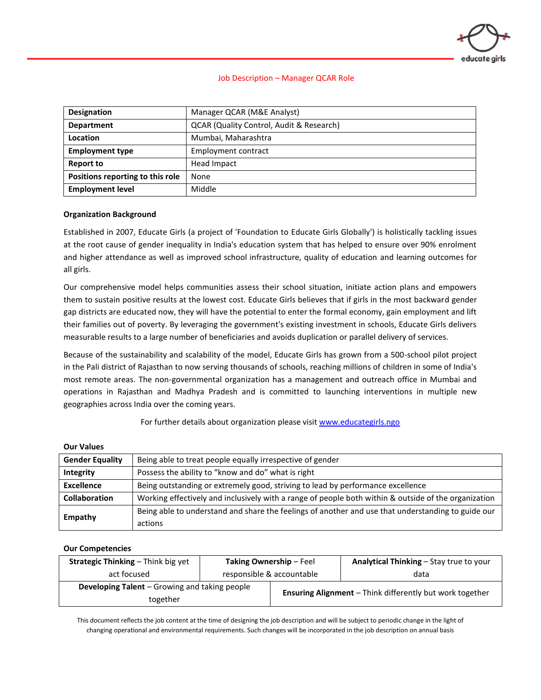

#### Job Description – Manager QCAR Role

| <b>Designation</b>                            | Manager QCAR (M&E Analyst)               |  |  |
|-----------------------------------------------|------------------------------------------|--|--|
| <b>Department</b>                             | QCAR (Quality Control, Audit & Research) |  |  |
| Location                                      | Mumbai, Maharashtra                      |  |  |
| <b>Employment type</b><br>Employment contract |                                          |  |  |
| <b>Report to</b>                              | Head Impact                              |  |  |
| Positions reporting to this role              | None                                     |  |  |
| <b>Employment level</b>                       | Middle                                   |  |  |

#### **Organization Background**

Established in 2007, Educate Girls (a project of 'Foundation to Educate Girls Globally') is holistically tackling issues at the root cause of gender inequality in India's education system that has helped to ensure over 90% enrolment and higher attendance as well as improved school infrastructure, quality of education and learning outcomes for all girls.

Our comprehensive model helps communities assess their school situation, initiate action plans and empowers them to sustain positive results at the lowest cost. Educate Girls believes that if girls in the most backward gender gap districts are educated now, they will have the potential to enter the formal economy, gain employment and lift their families out of poverty. By leveraging the government's existing investment in schools, Educate Girls delivers measurable results to a large number of beneficiaries and avoids duplication or parallel delivery of services.

Because of the sustainability and scalability of the model, Educate Girls has grown from a 500-school pilot project in the Pali district of Rajasthan to now serving thousands of schools, reaching millions of children in some of India's most remote areas. The non-governmental organization has a management and outreach office in Mumbai and operations in Rajasthan and Madhya Pradesh and is committed to launching interventions in multiple new geographies across India over the coming years.

For further details about organization please visi[t www.educategirls.ngo](http://www.educategirls.ngo/)

#### **Our Values**

| <b>Gender Equality</b> | Being able to treat people equally irrespective of gender                                            |  |
|------------------------|------------------------------------------------------------------------------------------------------|--|
| Integrity              | Possess the ability to "know and do" what is right                                                   |  |
| <b>Excellence</b>      | Being outstanding or extremely good, striving to lead by performance excellence                      |  |
| <b>Collaboration</b>   | Working effectively and inclusively with a range of people both within & outside of the organization |  |
| <b>Empathy</b>         | Being able to understand and share the feelings of another and use that understanding to guide our   |  |
|                        | actions                                                                                              |  |

#### **Our Competencies**

| <b>Strategic Thinking - Think big yet</b>            | <b>Taking Ownership - Feel</b> |                                                                 | <b>Analytical Thinking – Stay true to your</b> |
|------------------------------------------------------|--------------------------------|-----------------------------------------------------------------|------------------------------------------------|
| act focused                                          | responsible & accountable      |                                                                 | data                                           |
| <b>Developing Talent</b> – Growing and taking people |                                | <b>Ensuring Alignment</b> - Think differently but work together |                                                |
| together                                             |                                |                                                                 |                                                |

This document reflects the job content at the time of designing the job description and will be subject to periodic change in the light of changing operational and environmental requirements. Such changes will be incorporated in the job description on annual basis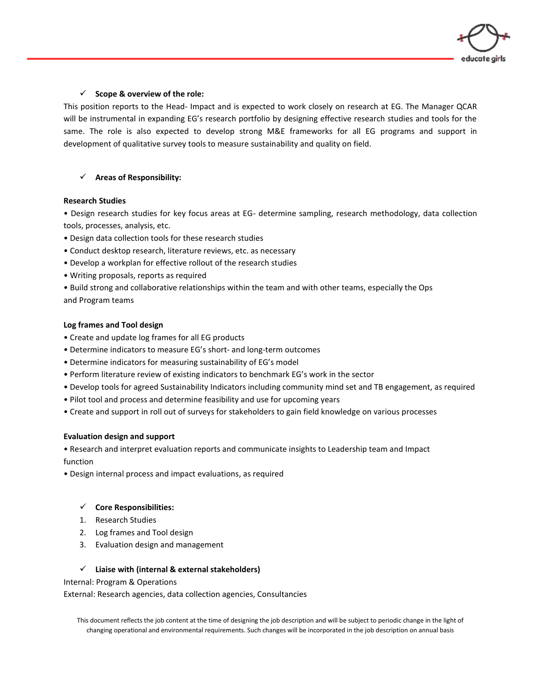

### ✓ **Scope & overview of the role:**

This position reports to the Head- Impact and is expected to work closely on research at EG. The Manager QCAR will be instrumental in expanding EG's research portfolio by designing effective research studies and tools for the same. The role is also expected to develop strong M&E frameworks for all EG programs and support in development of qualitative survey tools to measure sustainability and quality on field.

# ✓ **Areas of Responsibility:**

#### **Research Studies**

• Design research studies for key focus areas at EG- determine sampling, research methodology, data collection tools, processes, analysis, etc.

- Design data collection tools for these research studies
- Conduct desktop research, literature reviews, etc. as necessary
- Develop a workplan for effective rollout of the research studies
- Writing proposals, reports as required

• Build strong and collaborative relationships within the team and with other teams, especially the Ops and Program teams

### **Log frames and Tool design**

- Create and update log frames for all EG products
- Determine indicators to measure EG's short- and long-term outcomes
- Determine indicators for measuring sustainability of EG's model
- Perform literature review of existing indicators to benchmark EG's work in the sector
- Develop tools for agreed Sustainability Indicators including community mind set and TB engagement, as required
- Pilot tool and process and determine feasibility and use for upcoming years
- Create and support in roll out of surveys for stakeholders to gain field knowledge on various processes

### **Evaluation design and support**

• Research and interpret evaluation reports and communicate insights to Leadership team and Impact function

• Design internal process and impact evaluations, as required

### ✓ **Core Responsibilities:**

- 1. Research Studies
- 2. Log frames and Tool design
- 3. Evaluation design and management

### ✓ **Liaise with (internal & external stakeholders)**

Internal: Program & Operations

External: Research agencies, data collection agencies, Consultancies

This document reflects the job content at the time of designing the job description and will be subject to periodic change in the light of changing operational and environmental requirements. Such changes will be incorporated in the job description on annual basis